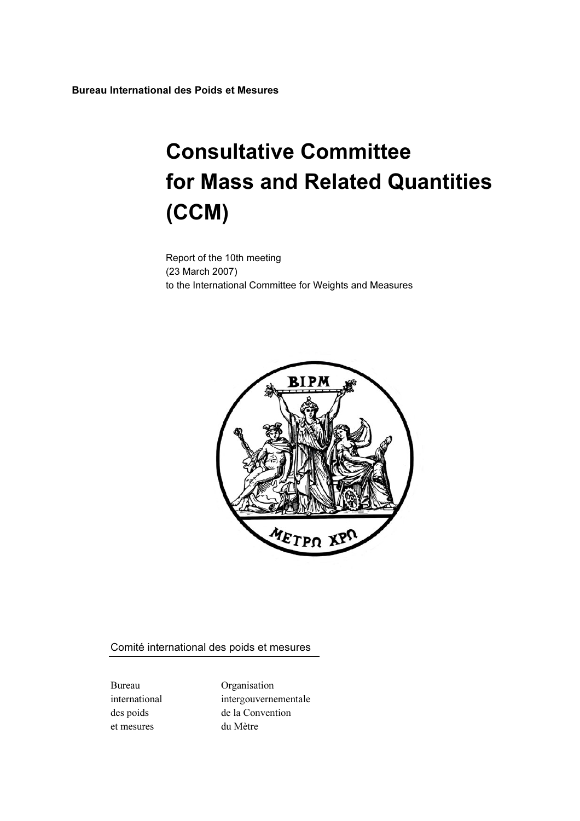Bureau International des Poids et Mesures

# Consultative Committee for Mass and Related Quantities (CCM)

Report of the 10th meeting (23 March 2007) to the International Committee for Weights and Measures



Comité international des poids et mesures

et mesures du Mètre

Bureau Organisation international intergouvernementale des poids de la Convention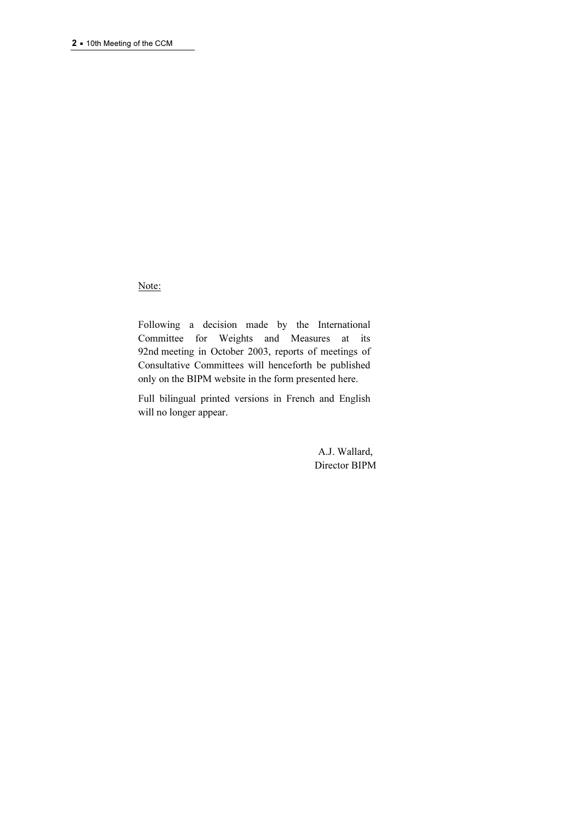Note:

Following a decision made by the International Committee for Weights and Measures at its 92nd meeting in October 2003, reports of meetings of Consultative Committees will henceforth be published only on the BIPM website in the form presented here.

Full bilingual printed versions in French and English will no longer appear.

> A.J. Wallard, Director BIPM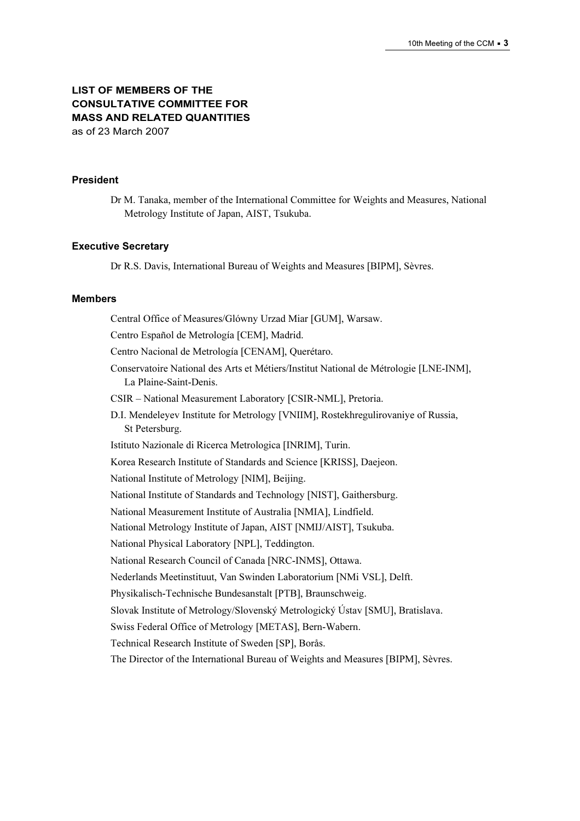# LIST OF MEMBERS OF THE CONSULTATIVE COMMITTEE FOR MASS AND RELATED QUANTITIES as of 23 March 2007

#### President

Dr M. Tanaka, member of the International Committee for Weights and Measures, National Metrology Institute of Japan, AIST, Tsukuba.

#### Executive Secretary

Dr R.S. Davis, International Bureau of Weights and Measures [BIPM], Sèvres.

#### Members

Central Office of Measures/Glόwny Urzad Miar [GUM], Warsaw. Centro Español de Metrología [CEM], Madrid. Centro Nacional de Metrología [CENAM], Querétaro. Conservatoire National des Arts et Métiers/Institut National de Métrologie [LNE-INM], La Plaine-Saint-Denis. CSIR – National Measurement Laboratory [CSIR-NML], Pretoria. D.I. Mendeleyev Institute for Metrology [VNIIM], Rostekhregulirovaniye of Russia, St Petersburg. Istituto Nazionale di Ricerca Metrologica [INRIM], Turin. Korea Research Institute of Standards and Science [KRISS], Daejeon. National Institute of Metrology [NIM], Beijing. National Institute of Standards and Technology [NIST], Gaithersburg. National Measurement Institute of Australia [NMIA], Lindfield. National Metrology Institute of Japan, AIST [NMIJ/AIST], Tsukuba. National Physical Laboratory [NPL], Teddington. National Research Council of Canada [NRC-INMS], Ottawa. Nederlands Meetinstituut, Van Swinden Laboratorium [NMi VSL], Delft. Physikalisch-Technische Bundesanstalt [PTB], Braunschweig. Slovak Institute of Metrology/Slovenský Metrologický Ústav [SMU], Bratislava. Swiss Federal Office of Metrology [METAS], Bern-Wabern. Technical Research Institute of Sweden [SP], Borås. The Director of the International Bureau of Weights and Measures [BIPM], Sèvres.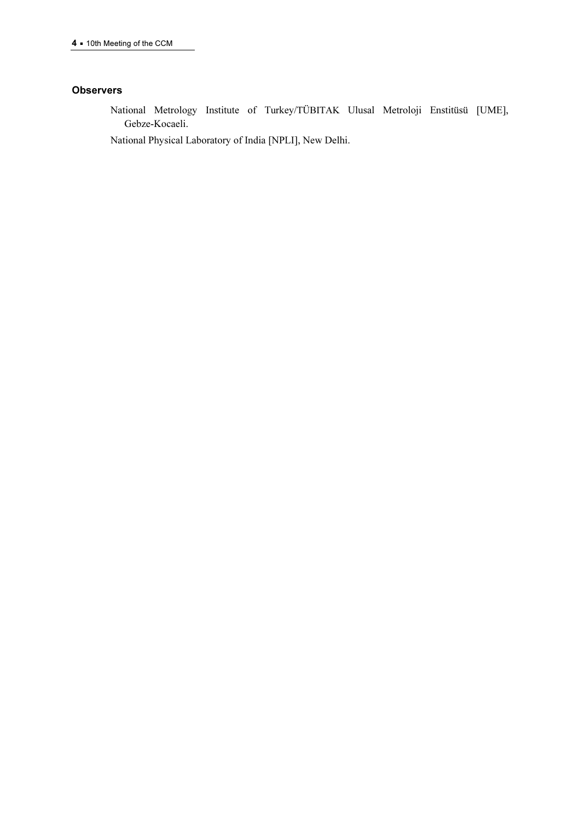#### **Observers**

National Metrology Institute of Turkey/TÜBITAK Ulusal Metroloji Enstitüsü [UME], Gebze-Kocaeli.

National Physical Laboratory of India [NPLI], New Delhi.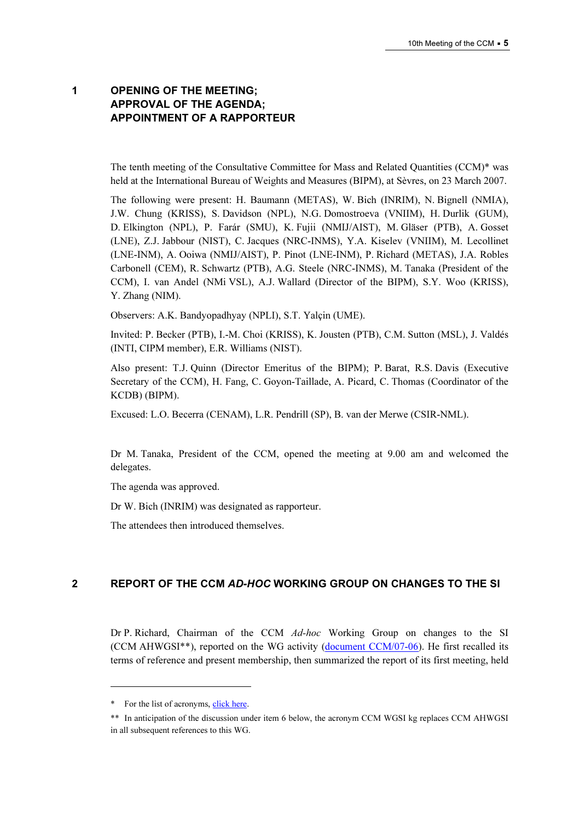# 1 OPENING OF THE MEETING; APPROVAL OF THE AGENDA; APPOINTMENT OF A RAPPORTEUR

The tenth meeting of the Consultative Committee for Mass and Related Quantities (CCM)\* was held at the International Bureau of Weights and Measures (BIPM), at Sèvres, on 23 March 2007.

The following were present: H. Baumann (METAS), W. Bich (INRIM), N. Bignell (NMIA), J.W. Chung (KRISS), S. Davidson (NPL), N.G. Domostroeva (VNIIM), H. Durlik (GUM), D. Elkington (NPL), P. Farár (SMU), K. Fujii (NMIJ/AIST), M. Gläser (PTB), A. Gosset (LNE), Z.J. Jabbour (NIST), C. Jacques (NRC-INMS), Y.A. Kiselev (VNIIM), M. Lecollinet (LNE-INM), A. Ooiwa (NMIJ/AIST), P. Pinot (LNE-INM), P. Richard (METAS), J.A. Robles Carbonell (CEM), R. Schwartz (PTB), A.G. Steele (NRC-INMS), M. Tanaka (President of the CCM), I. van Andel (NMi VSL), A.J. Wallard (Director of the BIPM), S.Y. Woo (KRISS), Y. Zhang (NIM).

Observers: A.K. Bandyopadhyay (NPLI), S.T. Yalçin (UME).

Invited: P. Becker (PTB), I.-M. Choi (KRISS), K. Jousten (PTB), C.M. Sutton (MSL), J. Valdés (INTI, CIPM member), E.R. Williams (NIST).

Also present: T.J. Quinn (Director Emeritus of the BIPM); P. Barat, R.S. Davis (Executive Secretary of the CCM), H. Fang, C. Goyon-Taillade, A. Picard, C. Thomas (Coordinator of the KCDB) (BIPM).

Excused: L.O. Becerra (CENAM), L.R. Pendrill (SP), B. van der Merwe (CSIR-NML).

Dr M. Tanaka, President of the CCM, opened the meeting at 9.00 am and welcomed the delegates.

The agenda was approved.

Dr W. Bich (INRIM) was designated as rapporteur.

The attendees then introduced themselves.

# 2 REPORT OF THE CCM AD-HOC WORKING GROUP ON CHANGES TO THE SI

Dr P. Richard, Chairman of the CCM Ad-hoc Working Group on changes to the SI (CCM AHWGSI\*\*), reported on the WG ac[tivity \(document CCM/07-06\). He f](https://www.bipm.org/cc/CCM/Allowed/10/CCM_AHWGSI_2007_Richard.pdf)irst recalled its terms of reference and present membership, then summarized the report of its first meeting, held

 $\ddot{ }$ 

<sup>\*</sup> For the list o[f acronyms, click here.](https://www.bipm.org/en/practical_info/acronyms.html) 

<sup>\*\*</sup> In anticipation of the discussion under item 6 below, the acronym CCM WGSI kg replaces CCM AHWGSI in all subsequent references to this WG.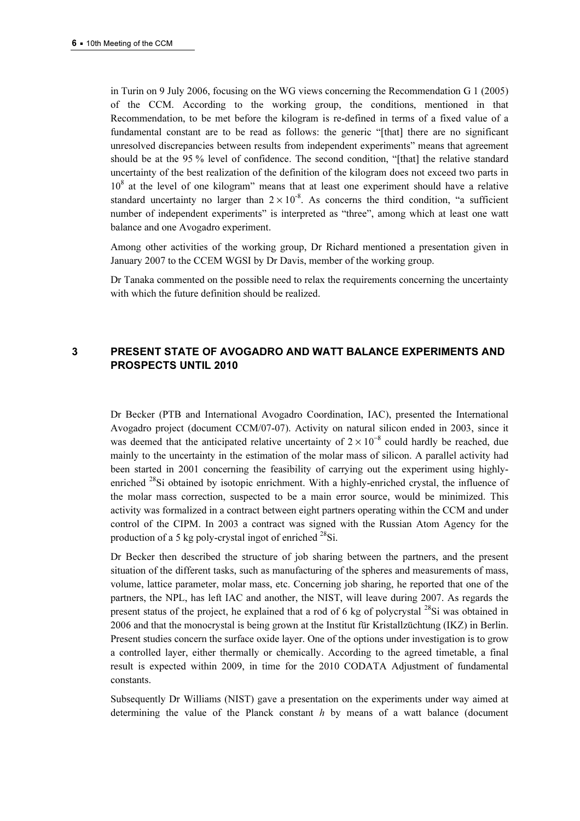in Turin on 9 July 2006, focusing on the WG views concerning the Recommendation G 1 (2005) of the CCM. According to the working group, the conditions, mentioned in that Recommendation, to be met before the kilogram is re-defined in terms of a fixed value of a fundamental constant are to be read as follows: the generic "[that] there are no significant unresolved discrepancies between results from independent experiments" means that agreement should be at the 95 % level of confidence. The second condition, "[that] the relative standard uncertainty of the best realization of the definition of the kilogram does not exceed two parts in 10<sup>8</sup> at the level of one kilogram" means that at least one experiment should have a relative standard uncertainty no larger than  $2 \times 10^{-8}$ . As concerns the third condition, "a sufficient number of independent experiments" is interpreted as "three", among which at least one watt balance and one Avogadro experiment.

Among other activities of the working group, Dr Richard mentioned a presentation given in January 2007 to the CCEM WGSI by Dr Davis, member of the working group.

Dr Tanaka commented on the possible need to relax the requirements concerning the uncertainty with which the future definition should be realized.

# 3 PRESENT STATE OF AVOGADRO AND WATT BALANCE EXPERIMENTS AND PROSPECTS UNTIL 2010

Dr Becker (PTB and International Avogadro Coordination, IAC), presented the International Avogadro project (document CCM/07-07). Activity on natural silicon ended in 2003, since it was deemed that the anticipated relative uncertainty of  $2 \times 10^{-8}$  could hardly be reached, due mainly to the uncertainty in the estimation of the molar mass of silicon. A parallel activity had been started in 2001 concerning the feasibility of carrying out the experiment using highlyenriched <sup>28</sup>Si obtained by isotopic enrichment. With a highly-enriched crystal, the influence of the molar mass correction, suspected to be a main error source, would be minimized. This activity was formalized in a contract between eight partners operating within the CCM and under control of the CIPM. In 2003 a contract was signed with the Russian Atom Agency for the production of a 5 kg poly-crystal ingot of enriched  $^{28}$ Si.

Dr Becker then described the structure of job sharing between the partners, and the present situation of the different tasks, such as manufacturing of the spheres and measurements of mass, volume, lattice parameter, molar mass, etc. Concerning job sharing, he reported that one of the partners, the NPL, has left IAC and another, the NIST, will leave during 2007. As regards the present status of the project, he explained that a rod of 6 kg of polycrystal  $^{28}$ Si was obtained in 2006 and that the monocrystal is being grown at the Institut für Kristallzüchtung (IKZ) in Berlin. Present studies concern the surface oxide layer. One of the options under investigation is to grow a controlled layer, either thermally or chemically. According to the agreed timetable, a final result is expected within 2009, in time for the 2010 CODATA Adjustment of fundamental constants.

Subsequently Dr Williams (NIST) gave a presentation on the experiments under way aimed at determining the value of the Planck constant  $h$  by means of a watt balance (document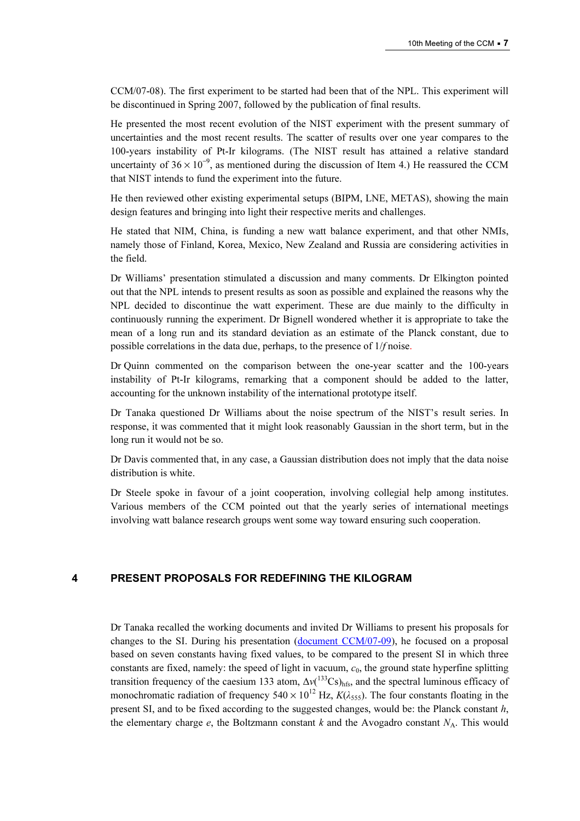CCM/07-08). The first experiment to be started had been that of the NPL. This experiment will be discontinued in Spring 2007, followed by the publication of final results.

He presented the most recent evolution of the NIST experiment with the present summary of uncertainties and the most recent results. The scatter of results over one year compares to the 100-years instability of Pt-Ir kilograms. (The NIST result has attained a relative standard uncertainty of  $36 \times 10^{-9}$ , as mentioned during the discussion of Item 4.) He reassured the CCM that NIST intends to fund the experiment into the future.

He then reviewed other existing experimental setups (BIPM, LNE, METAS), showing the main design features and bringing into light their respective merits and challenges.

He stated that NIM, China, is funding a new watt balance experiment, and that other NMIs, namely those of Finland, Korea, Mexico, New Zealand and Russia are considering activities in the field.

Dr Williams' presentation stimulated a discussion and many comments. Dr Elkington pointed out that the NPL intends to present results as soon as possible and explained the reasons why the NPL decided to discontinue the watt experiment. These are due mainly to the difficulty in continuously running the experiment. Dr Bignell wondered whether it is appropriate to take the mean of a long run and its standard deviation as an estimate of the Planck constant, due to possible correlations in the data due, perhaps, to the presence of 1/f noise.

Dr Quinn commented on the comparison between the one-year scatter and the 100-years instability of Pt-Ir kilograms, remarking that a component should be added to the latter, accounting for the unknown instability of the international prototype itself.

Dr Tanaka questioned Dr Williams about the noise spectrum of the NIST's result series. In response, it was commented that it might look reasonably Gaussian in the short term, but in the long run it would not be so.

Dr Davis commented that, in any case, a Gaussian distribution does not imply that the data noise distribution is white.

Dr Steele spoke in favour of a joint cooperation, involving collegial help among institutes. Various members of the CCM pointed out that the yearly series of international meetings involving watt balance research groups went some way toward ensuring such cooperation.

#### 4 PRESENT PROPOSALS FOR REDEFINING THE KILOGRAM

Dr Tanaka recalled the working documents and invited Dr Williams to present his proposals for changes to the SI. During his pres[entation \(document CCM/07-09\), he fo](https://www.bipm.org/cc/CCM/Allowed/10/CCM-SI_Williams.pdf)cused on a proposal based on seven constants having fixed values, to be compared to the present SI in which three constants are fixed, namely: the speed of light in vacuum,  $c<sub>0</sub>$ , the ground state hyperfine splitting transition frequency of the caesium 133 atom,  $\Delta v(^{133}Cs)_{hfs}$ , and the spectral luminous efficacy of monochromatic radiation of frequency  $540 \times 10^{12}$  Hz,  $K(\lambda_{555})$ . The four constants floating in the present SI, and to be fixed according to the suggested changes, would be: the Planck constant h, the elementary charge e, the Boltzmann constant k and the Avogadro constant  $N_A$ . This would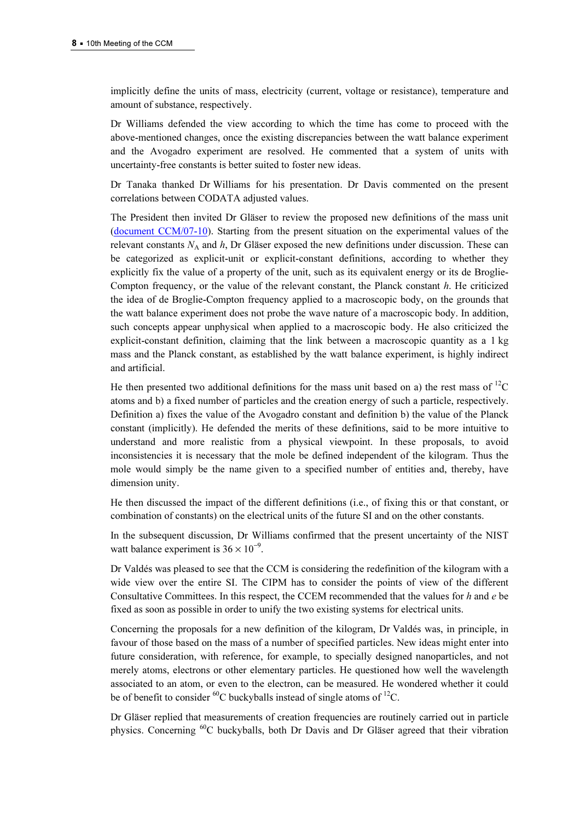implicitly define the units of mass, electricity (current, voltage or resistance), temperature and amount of substance, respectively.

Dr Williams defended the view according to which the time has come to proceed with the above-mentioned changes, once the existing discrepancies between the watt balance experiment and the Avogadro experiment are resolved. He commented that a system of units with uncertainty-free constants is better suited to foster new ideas.

Dr Tanaka thanked Dr Williams for his presentation. Dr Davis commented on the present correlations between CODATA adjusted values.

The President then invited Dr Gläser to review the proposed new definitions of the mass unit [\(document CCM/07-10\). Starti](https://www.bipm.org/cc/CCM/Allowed/10/Vortrag-New-Def-CCM2revised.pdf)ng from the present situation on the experimental values of the relevant constants  $N_A$  and  $h$ , Dr Gläser exposed the new definitions under discussion. These can be categorized as explicit-unit or explicit-constant definitions, according to whether they explicitly fix the value of a property of the unit, such as its equivalent energy or its de Broglie-Compton frequency, or the value of the relevant constant, the Planck constant  $h$ . He criticized the idea of de Broglie-Compton frequency applied to a macroscopic body, on the grounds that the watt balance experiment does not probe the wave nature of a macroscopic body. In addition, such concepts appear unphysical when applied to a macroscopic body. He also criticized the explicit-constant definition, claiming that the link between a macroscopic quantity as a 1 kg mass and the Planck constant, as established by the watt balance experiment, is highly indirect and artificial.

He then presented two additional definitions for the mass unit based on a) the rest mass of  ${}^{12}C$ atoms and b) a fixed number of particles and the creation energy of such a particle, respectively. Definition a) fixes the value of the Avogadro constant and definition b) the value of the Planck constant (implicitly). He defended the merits of these definitions, said to be more intuitive to understand and more realistic from a physical viewpoint. In these proposals, to avoid inconsistencies it is necessary that the mole be defined independent of the kilogram. Thus the mole would simply be the name given to a specified number of entities and, thereby, have dimension unity.

He then discussed the impact of the different definitions (i.e., of fixing this or that constant, or combination of constants) on the electrical units of the future SI and on the other constants.

In the subsequent discussion, Dr Williams confirmed that the present uncertainty of the NIST watt balance experiment is  $36 \times 10^{-9}$ .

Dr Valdés was pleased to see that the CCM is considering the redefinition of the kilogram with a wide view over the entire SI. The CIPM has to consider the points of view of the different Consultative Committees. In this respect, the CCEM recommended that the values for  $h$  and  $e$  be fixed as soon as possible in order to unify the two existing systems for electrical units.

Concerning the proposals for a new definition of the kilogram, Dr Valdés was, in principle, in favour of those based on the mass of a number of specified particles. New ideas might enter into future consideration, with reference, for example, to specially designed nanoparticles, and not merely atoms, electrons or other elementary particles. He questioned how well the wavelength associated to an atom, or even to the electron, can be measured. He wondered whether it could be of benefit to consider  ${}^{60}C$  buckyballs instead of single atoms of  ${}^{12}C$ .

Dr Gläser replied that measurements of creation frequencies are routinely carried out in particle physics. Concerning <sup>60</sup>C buckyballs, both Dr Davis and Dr Gläser agreed that their vibration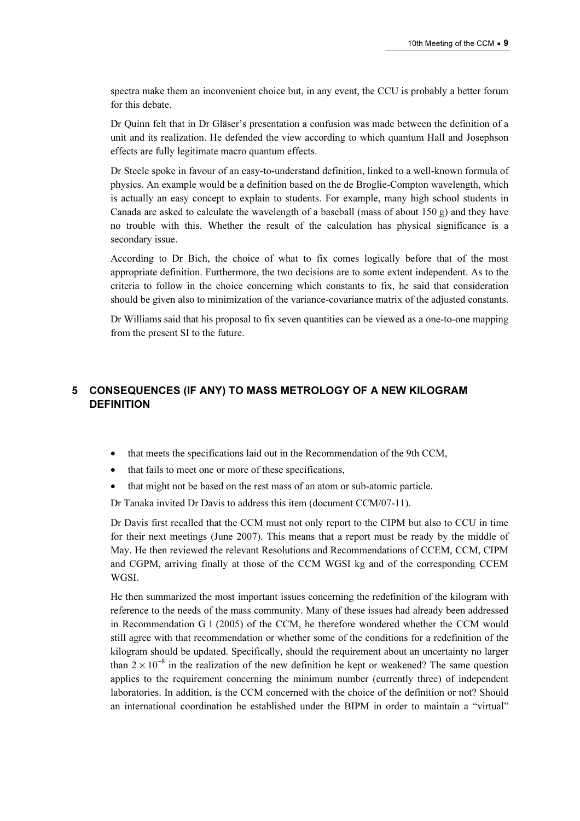spectra make them an inconvenient choice but, in any event, the CCU is probably a better forum for this debate.

Dr Quinn felt that in Dr Gläser's presentation a confusion was made between the definition of a unit and its realization. He defended the view according to which quantum Hall and Josephson effects are fully legitimate macro quantum effects.

Dr Steele spoke in favour of an easy-to-understand definition, linked to a well-known formula of physics. An example would be a definition based on the de Broglie-Compton wavelength, which is actually an easy concept to explain to students. For example, many high school students in Canada are asked to calculate the wavelength of a baseball (mass of about  $150 g$ ) and they have no trouble with this. Whether the result of the calculation has physical significance is a secondary issue.

According to Dr Bich, the choice of what to fix comes logically before that of the most appropriate definition. Furthermore, the two decisions are to some extent independent. As to the criteria to follow in the choice concerning which constants to fix, he said that consideration should be given also to minimization of the variance-covariance matrix of the adjusted constants.

Dr Williams said that his proposal to fix seven quantities can be viewed as a one-to-one mapping from the present SI to the future.

# 5 CONSEQUENCES (IF ANY) TO MASS METROLOGY OF A NEW KILOGRAM **DEFINITION**

- that meets the specifications laid out in the Recommendation of the 9th CCM,
- that fails to meet one or more of these specifications,
- that might not be based on the rest mass of an atom or sub-atomic particle.

Dr Tanaka invited Dr Davis to address this item (document CCM/07-11).

Dr Davis first recalled that the CCM must not only report to the CIPM but also to CCU in time for their next meetings (June 2007). This means that a report must be ready by the middle of May. He then reviewed the relevant Resolutions and Recommendations of CCEM, CCM, CIPM and CGPM, arriving finally at those of the CCM WGSI kg and of the corresponding CCEM WGSI.

He then summarized the most important issues concerning the redefinition of the kilogram with reference to the needs of the mass community. Many of these issues had already been addressed in Recommendation G 1 (2005) of the CCM, he therefore wondered whether the CCM would still agree with that recommendation or whether some of the conditions for a redefinition of the kilogram should be updated. Specifically, should the requirement about an uncertainty no larger than  $2 \times 10^{-8}$  in the realization of the new definition be kept or weakened? The same question applies to the requirement concerning the minimum number (currently three) of independent laboratories. In addition, is the CCM concerned with the choice of the definition or not? Should an international coordination be established under the BIPM in order to maintain a "virtual"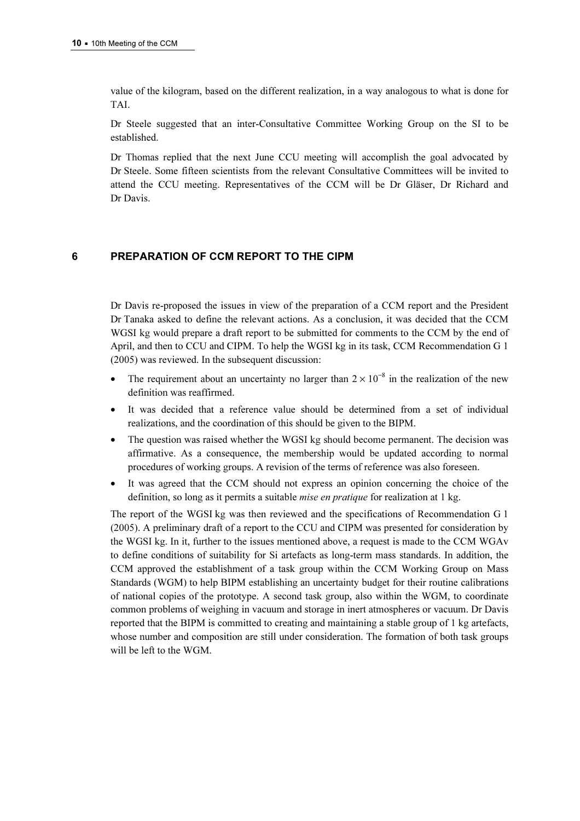value of the kilogram, based on the different realization, in a way analogous to what is done for TAI.

Dr Steele suggested that an inter-Consultative Committee Working Group on the SI to be established.

Dr Thomas replied that the next June CCU meeting will accomplish the goal advocated by Dr Steele. Some fifteen scientists from the relevant Consultative Committees will be invited to attend the CCU meeting. Representatives of the CCM will be Dr Gläser, Dr Richard and Dr Davis.

#### 6 PREPARATION OF CCM REPORT TO THE CIPM

Dr Davis re-proposed the issues in view of the preparation of a CCM report and the President Dr Tanaka asked to define the relevant actions. As a conclusion, it was decided that the CCM WGSI kg would prepare a draft report to be submitted for comments to the CCM by the end of April, and then to CCU and CIPM. To help the WGSI kg in its task, CCM Recommendation G 1 (2005) was reviewed. In the subsequent discussion:

- The requirement about an uncertainty no larger than  $2 \times 10^{-8}$  in the realization of the new definition was reaffirmed.
- It was decided that a reference value should be determined from a set of individual realizations, and the coordination of this should be given to the BIPM.
- The question was raised whether the WGSI kg should become permanent. The decision was affirmative. As a consequence, the membership would be updated according to normal procedures of working groups. A revision of the terms of reference was also foreseen.
- It was agreed that the CCM should not express an opinion concerning the choice of the definition, so long as it permits a suitable mise en pratique for realization at 1 kg.

The report of the WGSI kg was then reviewed and the specifications of Recommendation G 1 (2005). A preliminary draft of a report to the CCU and CIPM was presented for consideration by the WGSI kg. In it, further to the issues mentioned above, a request is made to the CCM WGAv to define conditions of suitability for Si artefacts as long-term mass standards. In addition, the CCM approved the establishment of a task group within the CCM Working Group on Mass Standards (WGM) to help BIPM establishing an uncertainty budget for their routine calibrations of national copies of the prototype. A second task group, also within the WGM, to coordinate common problems of weighing in vacuum and storage in inert atmospheres or vacuum. Dr Davis reported that the BIPM is committed to creating and maintaining a stable group of 1 kg artefacts, whose number and composition are still under consideration. The formation of both task groups will be left to the WGM.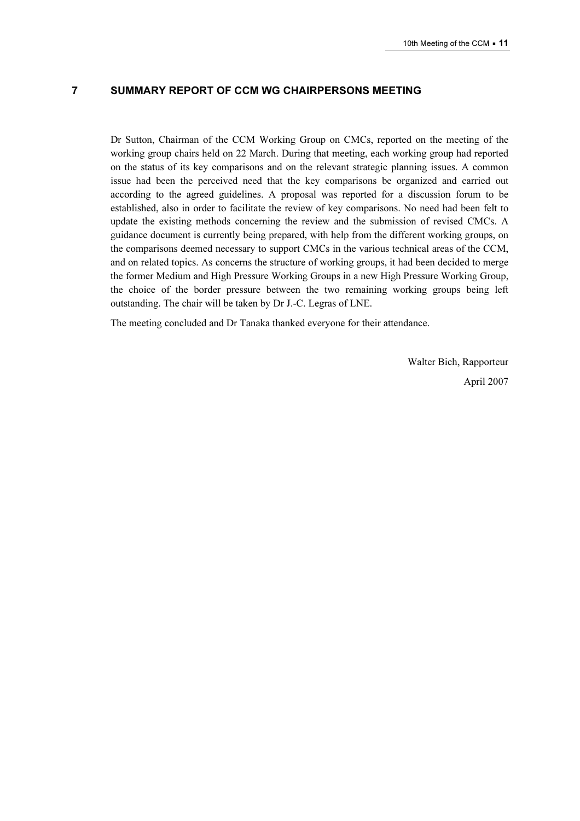#### 7 SUMMARY REPORT OF CCM WG CHAIRPERSONS MEETING

Dr Sutton, Chairman of the CCM Working Group on CMCs, reported on the meeting of the working group chairs held on 22 March. During that meeting, each working group had reported on the status of its key comparisons and on the relevant strategic planning issues. A common issue had been the perceived need that the key comparisons be organized and carried out according to the agreed guidelines. A proposal was reported for a discussion forum to be established, also in order to facilitate the review of key comparisons. No need had been felt to update the existing methods concerning the review and the submission of revised CMCs. A guidance document is currently being prepared, with help from the different working groups, on the comparisons deemed necessary to support CMCs in the various technical areas of the CCM, and on related topics. As concerns the structure of working groups, it had been decided to merge the former Medium and High Pressure Working Groups in a new High Pressure Working Group, the choice of the border pressure between the two remaining working groups being left outstanding. The chair will be taken by Dr J.-C. Legras of LNE.

The meeting concluded and Dr Tanaka thanked everyone for their attendance.

Walter Bich, Rapporteur April 2007